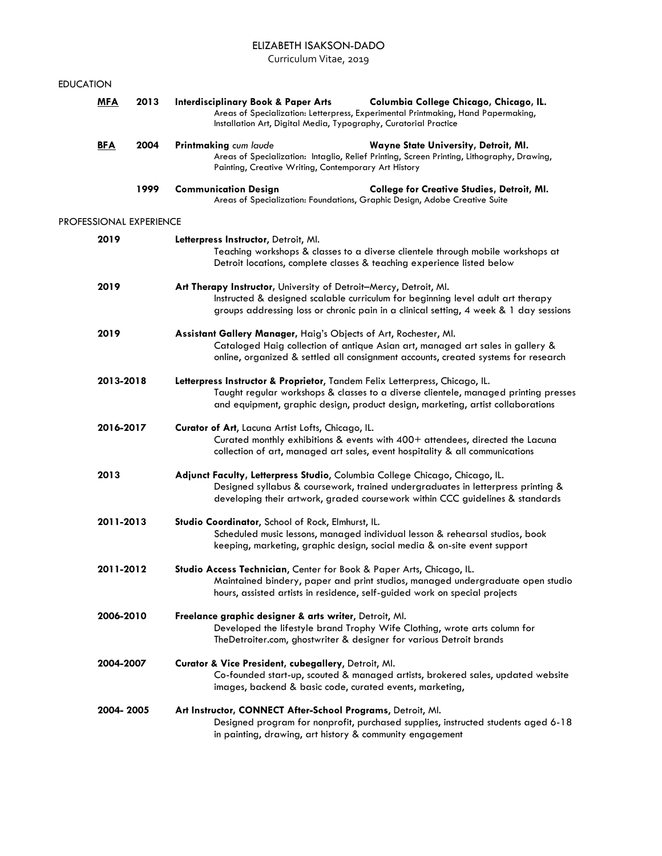### ELIZABETH ISAKSON-DADO

Curriculum Vitae, 2019

| <b>EDUCATION</b> |                         |      |                                                                                                                                                                                                                                                       |                                                                                                                                    |  |
|------------------|-------------------------|------|-------------------------------------------------------------------------------------------------------------------------------------------------------------------------------------------------------------------------------------------------------|------------------------------------------------------------------------------------------------------------------------------------|--|
|                  | <b>MFA</b>              | 2013 | <b>Interdisciplinary Book &amp; Paper Arts</b><br>Installation Art, Digital Media, Typography, Curatorial Practice                                                                                                                                    | Columbia College Chicago, Chicago, IL.<br>Areas of Specialization: Letterpress, Experimental Printmaking, Hand Papermaking,        |  |
|                  | <b>BFA</b>              | 2004 | Printmaking cum laude<br>Painting, Creative Writing, Contemporary Art History                                                                                                                                                                         | Wayne State University, Detroit, MI.<br>Areas of Specialization: Intaglio, Relief Printing, Screen Printing, Lithography, Drawing, |  |
|                  |                         | 1999 | <b>Communication Design</b><br>Areas of Specialization: Foundations, Graphic Design, Adobe Creative Suite                                                                                                                                             | <b>College for Creative Studies, Detroit, MI.</b>                                                                                  |  |
|                  | PROFESSIONAL EXPERIENCE |      |                                                                                                                                                                                                                                                       |                                                                                                                                    |  |
|                  | 2019                    |      | Letterpress Instructor, Detroit, Ml.<br>Teaching workshops & classes to a diverse clientele through mobile workshops at<br>Detroit locations, complete classes & teaching experience listed below                                                     |                                                                                                                                    |  |
|                  | 2019                    |      | Art Therapy Instructor, University of Detroit-Mercy, Detroit, Ml.<br>Instructed & designed scalable curriculum for beginning level adult art therapy<br>groups addressing loss or chronic pain in a clinical setting, 4 week & 1 day sessions         |                                                                                                                                    |  |
|                  | 2019                    |      | Assistant Gallery Manager, Haig's Objects of Art, Rochester, Ml.<br>Cataloged Haig collection of antique Asian art, managed art sales in gallery &<br>online, organized & settled all consignment accounts, created systems for research              |                                                                                                                                    |  |
|                  | 2013-2018               |      | Letterpress Instructor & Proprietor, Tandem Felix Letterpress, Chicago, IL.<br>Taught regular workshops & classes to a diverse clientele, managed printing presses<br>and equipment, graphic design, product design, marketing, artist collaborations |                                                                                                                                    |  |
|                  | 2016-2017               |      | Curator of Art, Lacuna Artist Lofts, Chicago, IL.<br>Curated monthly exhibitions & events with 400+ attendees, directed the Lacuna<br>collection of art, managed art sales, event hospitality & all communications                                    |                                                                                                                                    |  |
|                  | 2013                    |      | Adjunct Faculty, Letterpress Studio, Columbia College Chicago, Chicago, IL.<br>Designed syllabus & coursework, trained undergraduates in letterpress printing &<br>developing their artwork, graded coursework within CCC guidelines & standards      |                                                                                                                                    |  |
|                  | 2011-2013               |      | Studio Coordinator, School of Rock, Elmhurst, IL.<br>Scheduled music lessons, managed individual lesson & rehearsal studios, book<br>keeping, marketing, graphic design, social media & on-site event support                                         |                                                                                                                                    |  |
|                  | 2011-2012               |      | Studio Access Technician, Center for Book & Paper Arts, Chicago, IL.<br>Maintained bindery, paper and print studios, managed undergraduate open studio<br>hours, assisted artists in residence, self-guided work on special projects                  |                                                                                                                                    |  |
|                  | 2006-2010<br>2004-2007  |      | Freelance graphic designer & arts writer, Detroit, Ml.<br>Developed the lifestyle brand Trophy Wife Clothing, wrote arts column for<br>TheDetroiter.com, ghostwriter & designer for various Detroit brands                                            |                                                                                                                                    |  |
|                  |                         |      | Curator & Vice President, cubegallery, Detroit, Ml.<br>Co-founded start-up, scouted & managed artists, brokered sales, updated website<br>images, backend & basic code, curated events, marketing,                                                    |                                                                                                                                    |  |
|                  | 2004-2005               |      | Art Instructor, CONNECT After-School Programs, Detroit, Ml.                                                                                                                                                                                           |                                                                                                                                    |  |

Designed program for nonprofit, purchased supplies, instructed students aged 6-18 in painting, drawing, art history & community engagement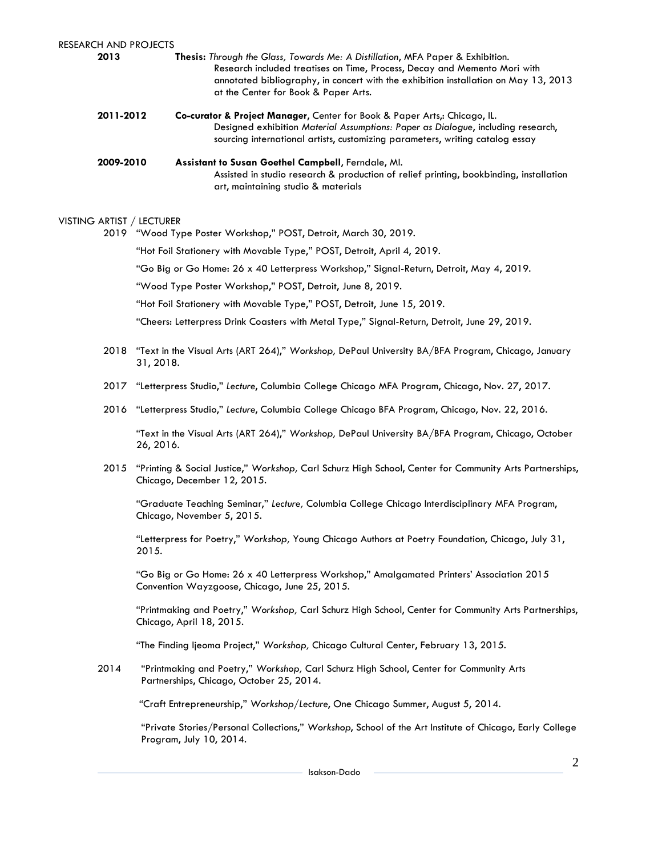| RESEARCH AND PROJECTS<br>2013 | <b>Thesis:</b> Through the Glass, Towards Me: A Distillation, MFA Paper & Exhibition.<br>Research included treatises on Time, Process, Decay and Memento Mori with<br>annotated bibliography, in concert with the exhibition installation on May 13, 2013<br>at the Center for Book & Paper Arts. |  |
|-------------------------------|---------------------------------------------------------------------------------------------------------------------------------------------------------------------------------------------------------------------------------------------------------------------------------------------------|--|
| 2011-2012                     | Co-curator & Project Manager, Center for Book & Paper Arts,: Chicago, IL.<br>Designed exhibition Material Assumptions: Paper as Dialogue, including research,<br>sourcing international artists, customizing parameters, writing catalog essay                                                    |  |
| 2009-2010                     | Assistant to Susan Goethel Campbell, Ferndale, Ml.<br>Assisted in studio research & production of relief printing, bookbinding, installation<br>art, maintaining studio & materials                                                                                                               |  |
| VISTING ARTIST / LECTURER     |                                                                                                                                                                                                                                                                                                   |  |
|                               | 2019 "Wood Type Poster Workshop," POST, Detroit, March 30, 2019.                                                                                                                                                                                                                                  |  |
|                               | "Hot Foil Stationery with Movable Type," POST, Detroit, April 4, 2019.                                                                                                                                                                                                                            |  |
|                               | "Go Big or Go Home: 26 x 40 Letterpress Workshop," Signal-Return, Detroit, May 4, 2019.                                                                                                                                                                                                           |  |
|                               | "Wood Type Poster Workshop," POST, Detroit, June 8, 2019.                                                                                                                                                                                                                                         |  |
|                               | "Hot Foil Stationery with Movable Type," POST, Detroit, June 15, 2019.                                                                                                                                                                                                                            |  |
|                               | "Cheers: Letterpress Drink Coasters with Metal Type," Signal-Return, Detroit, June 29, 2019.                                                                                                                                                                                                      |  |
| 2018                          | "Text in the Visual Arts (ART 264)," Workshop, DePaul University BA/BFA Program, Chicago, January<br>31, 2018.                                                                                                                                                                                    |  |
| 2017                          | "Letterpress Studio," Lecture, Columbia College Chicago MFA Program, Chicago, Nov. 27, 2017.                                                                                                                                                                                                      |  |
| 2016                          | "Letterpress Studio," Lecture, Columbia College Chicago BFA Program, Chicago, Nov. 22, 2016.                                                                                                                                                                                                      |  |
|                               | "Text in the Visual Arts (ART 264)," Workshop, DePaul University BA/BFA Program, Chicago, October<br>26, 2016.                                                                                                                                                                                    |  |
| 2015                          | "Printing & Social Justice," Workshop, Carl Schurz High School, Center for Community Arts Partnerships,<br>Chicago, December 12, 2015.                                                                                                                                                            |  |
|                               | "Graduate Teaching Seminar," Lecture, Columbia College Chicago Interdisciplinary MFA Program,<br>Chicago, November 5, 2015.                                                                                                                                                                       |  |
|                               | "Letterpress for Poetry," Workshop, Young Chicago Authors at Poetry Foundation, Chicago, July 31,<br>2015.                                                                                                                                                                                        |  |
|                               | "Go Big or Go Home: 26 x 40 Letterpress Workshop," Amalgamated Printers' Association 2015<br>Convention Wayzgoose, Chicago, June 25, 2015.                                                                                                                                                        |  |
|                               | "Printmaking and Poetry," Workshop, Carl Schurz High School, Center for Community Arts Partnerships,<br>Chicago, April 18, 2015.                                                                                                                                                                  |  |
|                               | "The Finding Ijeoma Project," Workshop, Chicago Cultural Center, February 13, 2015.                                                                                                                                                                                                               |  |
| 2014                          | "Printmaking and Poetry," Workshop, Carl Schurz High School, Center for Community Arts<br>Partnerships, Chicago, October 25, 2014.                                                                                                                                                                |  |
|                               | "Craft Entrepreneurship," Workshop/Lecture, One Chicago Summer, August 5, 2014.                                                                                                                                                                                                                   |  |
|                               | "Private Stories/Personal Collections," Workshop, School of the Art Institute of Chicago, Early College<br>Program, July 10, 2014.                                                                                                                                                                |  |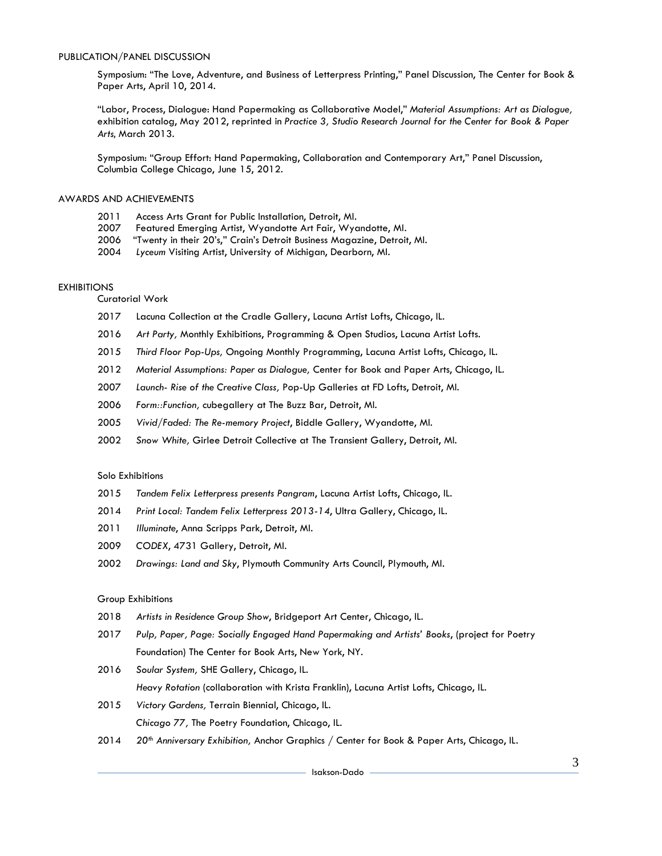Symposium: "The Love, Adventure, and Business of Letterpress Printing," Panel Discussion, The Center for Book & Paper Arts, April 10, 2014.

"Labor, Process, Dialogue: Hand Papermaking as Collaborative Model," *Material Assumptions: Art as Dialogue,*  exhibition catalog, May 2012, reprinted in *Practice 3, Studio Research Journal for the Center for Book & Paper Arts*, March 2013.

Symposium: "Group Effort: Hand Papermaking, Collaboration and Contemporary Art," Panel Discussion, Columbia College Chicago, June 15, 2012.

# AWARDS AND ACHIEVEMENTS

- 2011 Access Arts Grant for Public Installation, Detroit, MI.
- 2007 Featured Emerging Artist, Wyandotte Art Fair, Wyandotte, MI.
- 2006 "Twenty in their 20's," Crain's Detroit Business Magazine, Detroit, MI.
- 2004 *Lyceum* Visiting Artist, University of Michigan, Dearborn, MI.

# **EXHIBITIONS**

Curatorial Work

- 2017 Lacuna Collection at the Cradle Gallery, Lacuna Artist Lofts, Chicago, IL.
- 2016 *Art Party,* Monthly Exhibitions, Programming & Open Studios, Lacuna Artist Lofts.
- 2015 *Third Floor Pop-Ups,* Ongoing Monthly Programming, Lacuna Artist Lofts, Chicago, IL.
- 2012 *Material Assumptions: Paper as Dialogue,* Center for Book and Paper Arts, Chicago, IL.
- 2007 *Launch- Rise of the Creative Class,* Pop-Up Galleries at FD Lofts, Detroit, MI.
- 2006 *Form::Function,* cubegallery at The Buzz Bar, Detroit, MI.
- 2005 *Vivid/Faded: The Re-memory Project*, Biddle Gallery, Wyandotte, MI.
- 2002 *Snow White,* Girlee Detroit Collective at The Transient Gallery, Detroit, MI.

# Solo Exhibitions

- 2015 *Tandem Felix Letterpress presents Pangram*, Lacuna Artist Lofts, Chicago, IL.
- 2014 *Print Local: Tandem Felix Letterpress 2013-14*, Ultra Gallery, Chicago, IL.
- 2011 *Illuminate*, Anna Scripps Park, Detroit, MI.
- 2009 *CODEX*, 4731 Gallery, Detroit, MI.
- 2002 *Drawings: Land and Sky*, Plymouth Community Arts Council, Plymouth, MI.

### Group Exhibitions

- 2018 *Artists in Residence Group Show*, Bridgeport Art Center, Chicago, IL.
- 2017 *Pulp, Paper, Page: Socially Engaged Hand Papermaking and Artists' Books*, (project for Poetry Foundation) The Center for Book Arts, New York, NY.
- 2016 *Soular System,* SHE Gallery, Chicago, IL.

*Heavy Rotation* (collaboration with Krista Franklin), Lacuna Artist Lofts, Chicago, IL.

- 2015 *Victory Gardens,* Terrain Biennial, Chicago, IL. *Chicago 77,* The Poetry Foundation, Chicago, IL.
- 2014 *20th Anniversary Exhibition,* Anchor Graphics / Center for Book & Paper Arts, Chicago, IL.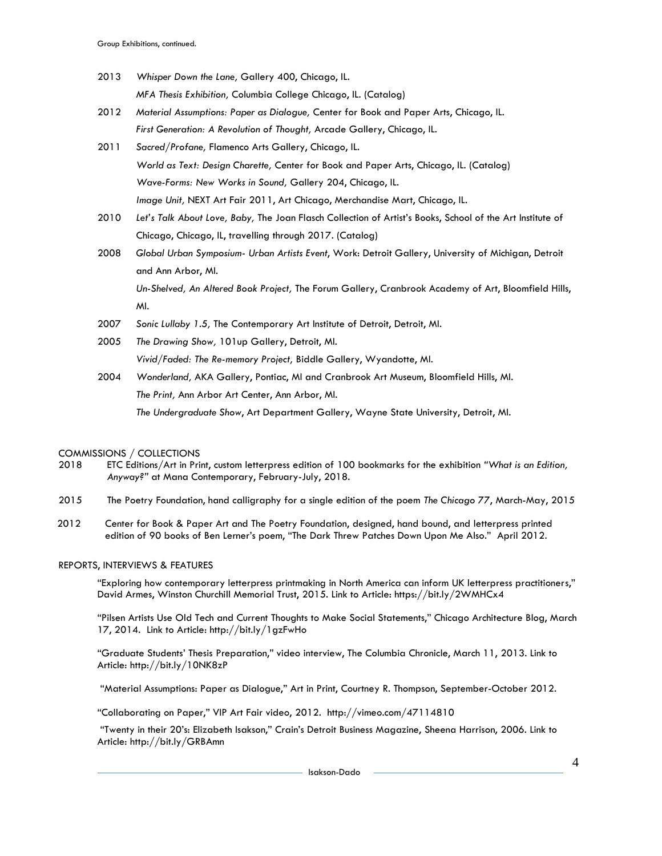- 2013 *Whisper Down the Lane,* Gallery 400, Chicago, IL. *MFA Thesis Exhibition,* Columbia College Chicago, IL. (Catalog)
- 2012 *Material Assumptions: Paper as Dialogue,* Center for Book and Paper Arts, Chicago, IL. *First Generation: A Revolution of Thought,* Arcade Gallery, Chicago, IL.
- 2011 *Sacred/Profane,* Flamenco Arts Gallery, Chicago, IL. *World as Text: Design Charette,* Center for Book and Paper Arts, Chicago, IL. (Catalog) *Wave-Forms: New Works in Sound,* Gallery 204, Chicago, IL. *Image Unit,* NEXT Art Fair 2011, Art Chicago, Merchandise Mart, Chicago, IL.
- 2010 *Let's Talk About Love, Baby,* The Joan Flasch Collection of Artist's Books, School of the Art Institute of Chicago, Chicago, IL, travelling through 2017. (Catalog)
- 2008 *Global Urban Symposium- Urban Artists Event*, Work: Detroit Gallery, University of Michigan, Detroit and Ann Arbor, MI.

*Un-Shelved, An Altered Book Project,* The Forum Gallery, Cranbrook Academy of Art, Bloomfield Hills, MI.

- 2007 *Sonic Lullaby 1.5,* The Contemporary Art Institute of Detroit, Detroit, MI.
- 2005 *The Drawing Show,* 101up Gallery, Detroit, MI. *Vivid/Faded: The Re-memory Project,* Biddle Gallery, Wyandotte, MI.
- 2004 *Wonderland,* AKA Gallery, Pontiac, MI and Cranbrook Art Museum, Bloomfield Hills, MI. *The Print,* Ann Arbor Art Center, Ann Arbor, MI. *The Undergraduate Show*, Art Department Gallery, Wayne State University, Detroit, MI.

# COMMISSIONS / COLLECTIONS

- 2018 ETC Editions/Art in Print, custom letterpress edition of 100 bookmarks for the exhibition *"What is an Edition, Anyway?"* at Mana Contemporary, February-July, 2018.
- 2015 The Poetry Foundation, hand calligraphy for a single edition of the poem *The Chicago 77*, March-May, 2015
- 2012 Center for Book & Paper Art and The Poetry Foundation, designed, hand bound, and letterpress printed edition of 90 books of Ben Lerner's poem, "The Dark Threw Patches Down Upon Me Also." April 2012.

#### REPORTS, INTERVIEWS & FEATURES

"Exploring how contemporary letterpress printmaking in North America can inform UK letterpress practitioners," David Armes, Winston Churchill Memorial Trust, 2015. Link to Article: https://bit.ly/2WMHCx4

"Pilsen Artists Use Old Tech and Current Thoughts to Make Social Statements," Chicago Architecture Blog, March 17, 2014. Link to Article: http://bit.ly/1gzFwHo

"Graduate Students' Thesis Preparation," video interview, The Columbia Chronicle, March 11, 2013. Link to Article: http://bit.ly/10NK8zP

"Material Assumptions: Paper as Dialogue," Art in Print, Courtney R. Thompson, September-October 2012.

"Collaborating on Paper," VIP Art Fair video, 2012. http://vimeo.com/47114810

"Twenty in their 20's: Elizabeth Isakson," Crain's Detroit Business Magazine, Sheena Harrison, 2006. Link to Article: http://bit.ly/GRBAmn